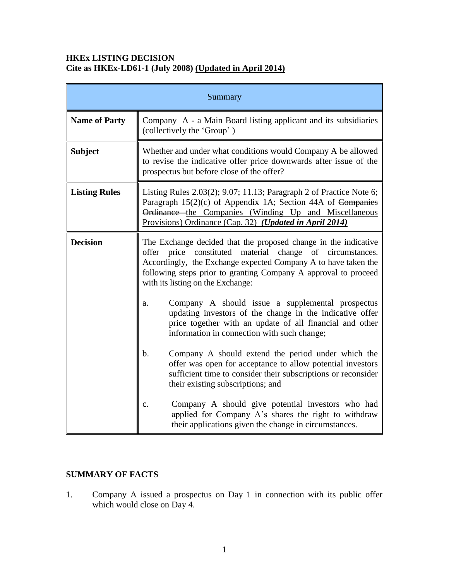### **HKEx LISTING DECISION Cite as HKEx-LD61-1 (July 2008) (Updated in April 2014)**

| Summary              |                                                                                                                                                                                                                                                                                                              |
|----------------------|--------------------------------------------------------------------------------------------------------------------------------------------------------------------------------------------------------------------------------------------------------------------------------------------------------------|
| <b>Name of Party</b> | Company A - a Main Board listing applicant and its subsidiaries<br>(collectively the 'Group')                                                                                                                                                                                                                |
| <b>Subject</b>       | Whether and under what conditions would Company A be allowed<br>to revise the indicative offer price downwards after issue of the<br>prospectus but before close of the offer?                                                                                                                               |
| <b>Listing Rules</b> | Listing Rules 2.03(2); 9.07; 11.13; Paragraph 2 of Practice Note 6;<br>Paragraph 15(2)(c) of Appendix 1A; Section 44A of Companies<br>Ordinance the Companies (Winding Up and Miscellaneous<br>Provisions) Ordinance (Cap. 32) (Updated in April 2014)                                                       |
| <b>Decision</b>      | The Exchange decided that the proposed change in the indicative<br>constituted material<br>offer price<br>change of circumstances.<br>Accordingly, the Exchange expected Company A to have taken the<br>following steps prior to granting Company A approval to proceed<br>with its listing on the Exchange: |
|                      | Company A should issue a supplemental prospectus<br>a.<br>updating investors of the change in the indicative offer<br>price together with an update of all financial and other<br>information in connection with such change;                                                                                |
|                      | Company A should extend the period under which the<br>$\mathbf b$ .<br>offer was open for acceptance to allow potential investors<br>sufficient time to consider their subscriptions or reconsider<br>their existing subscriptions; and                                                                      |
|                      | Company A should give potential investors who had<br>c.<br>applied for Company A's shares the right to withdraw<br>their applications given the change in circumstances.                                                                                                                                     |

# **SUMMARY OF FACTS**

1. Company A issued a prospectus on Day 1 in connection with its public offer which would close on Day 4.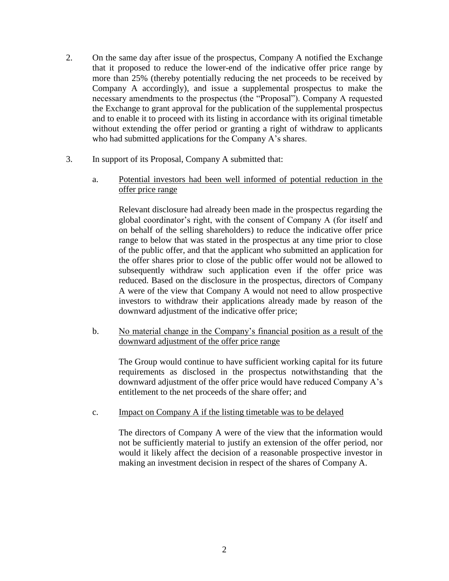- 2. On the same day after issue of the prospectus, Company A notified the Exchange that it proposed to reduce the lower-end of the indicative offer price range by more than 25% (thereby potentially reducing the net proceeds to be received by Company A accordingly), and issue a supplemental prospectus to make the necessary amendments to the prospectus (the "Proposal"). Company A requested the Exchange to grant approval for the publication of the supplemental prospectus and to enable it to proceed with its listing in accordance with its original timetable without extending the offer period or granting a right of withdraw to applicants who had submitted applications for the Company A's shares.
- 3. In support of its Proposal, Company A submitted that:
	- a. Potential investors had been well informed of potential reduction in the offer price range

Relevant disclosure had already been made in the prospectus regarding the global coordinator's right, with the consent of Company A (for itself and on behalf of the selling shareholders) to reduce the indicative offer price range to below that was stated in the prospectus at any time prior to close of the public offer, and that the applicant who submitted an application for the offer shares prior to close of the public offer would not be allowed to subsequently withdraw such application even if the offer price was reduced. Based on the disclosure in the prospectus, directors of Company A were of the view that Company A would not need to allow prospective investors to withdraw their applications already made by reason of the downward adjustment of the indicative offer price;

b. No material change in the Company's financial position as a result of the downward adjustment of the offer price range

The Group would continue to have sufficient working capital for its future requirements as disclosed in the prospectus notwithstanding that the downward adjustment of the offer price would have reduced Company A's entitlement to the net proceeds of the share offer; and

c. Impact on Company A if the listing timetable was to be delayed

The directors of Company A were of the view that the information would not be sufficiently material to justify an extension of the offer period, nor would it likely affect the decision of a reasonable prospective investor in making an investment decision in respect of the shares of Company A.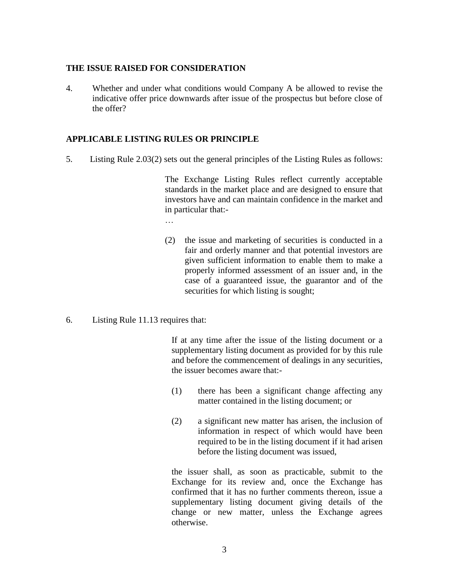#### **THE ISSUE RAISED FOR CONSIDERATION**

4. Whether and under what conditions would Company A be allowed to revise the indicative offer price downwards after issue of the prospectus but before close of the offer?

### **APPLICABLE LISTING RULES OR PRINCIPLE**

5. Listing Rule 2.03(2) sets out the general principles of the Listing Rules as follows:

The Exchange Listing Rules reflect currently acceptable standards in the market place and are designed to ensure that investors have and can maintain confidence in the market and in particular that:-

…

- (2) the issue and marketing of securities is conducted in a fair and orderly manner and that potential investors are given sufficient information to enable them to make a properly informed assessment of an issuer and, in the case of a guaranteed issue, the guarantor and of the securities for which listing is sought;
- 6. Listing Rule 11.13 requires that:

If at any time after the issue of the listing document or a supplementary listing document as provided for by this rule and before the commencement of dealings in any securities, the issuer becomes aware that:-

- (1) there has been a significant change affecting any matter contained in the listing document; or
- (2) a significant new matter has arisen, the inclusion of information in respect of which would have been required to be in the listing document if it had arisen before the listing document was issued,

the issuer shall, as soon as practicable, submit to the Exchange for its review and, once the Exchange has confirmed that it has no further comments thereon, issue a supplementary listing document giving details of the change or new matter, unless the Exchange agrees otherwise.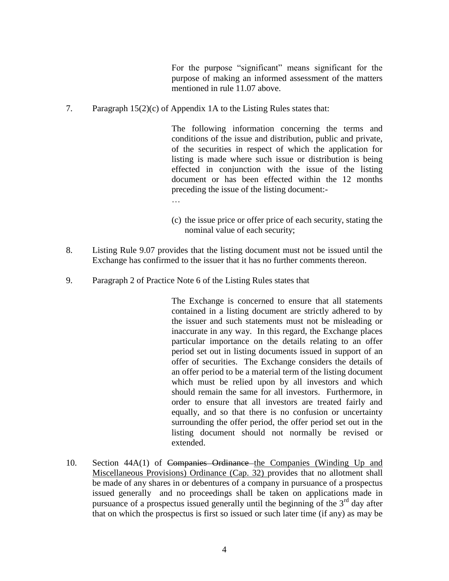For the purpose "significant" means significant for the purpose of making an informed assessment of the matters mentioned in rule 11.07 above.

7. Paragraph 15(2)(c) of Appendix 1A to the Listing Rules states that:

The following information concerning the terms and conditions of the issue and distribution, public and private, of the securities in respect of which the application for listing is made where such issue or distribution is being effected in conjunction with the issue of the listing document or has been effected within the 12 months preceding the issue of the listing document:-

- (c) the issue price or offer price of each security, stating the nominal value of each security;
- 8. Listing Rule 9.07 provides that the listing document must not be issued until the Exchange has confirmed to the issuer that it has no further comments thereon.
- 9. Paragraph 2 of Practice Note 6 of the Listing Rules states that

The Exchange is concerned to ensure that all statements contained in a listing document are strictly adhered to by the issuer and such statements must not be misleading or inaccurate in any way. In this regard, the Exchange places particular importance on the details relating to an offer period set out in listing documents issued in support of an offer of securities. The Exchange considers the details of an offer period to be a material term of the listing document which must be relied upon by all investors and which should remain the same for all investors. Furthermore, in order to ensure that all investors are treated fairly and equally, and so that there is no confusion or uncertainty surrounding the offer period, the offer period set out in the listing document should not normally be revised or extended.

10. Section 44A(1) of Companies Ordinance the Companies (Winding Up and Miscellaneous Provisions) Ordinance (Cap. 32) provides that no allotment shall be made of any shares in or debentures of a company in pursuance of a prospectus issued generally and no proceedings shall be taken on applications made in pursuance of a prospectus issued generally until the beginning of the  $3<sup>rd</sup>$  day after that on which the prospectus is first so issued or such later time (if any) as may be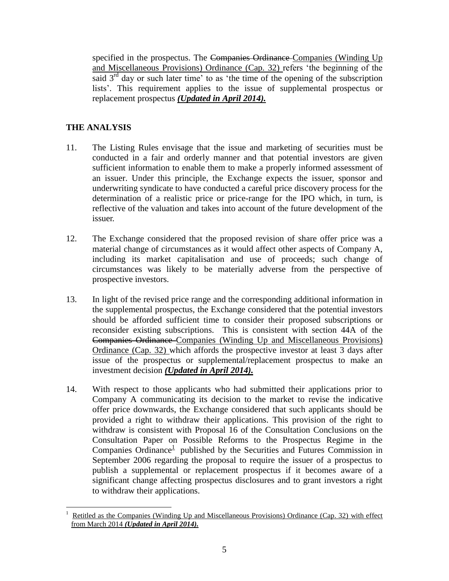specified in the prospectus. The Companies Ordinance Companies (Winding Up and Miscellaneous Provisions) Ordinance (Cap. 32) refers 'the beginning of the said  $3<sup>rd</sup>$  day or such later time' to as 'the time of the opening of the subscription lists'. This requirement applies to the issue of supplemental prospectus or replacement prospectus *(Updated in April 2014).*

# **THE ANALYSIS**

 $\overline{a}$ 

- 11. The Listing Rules envisage that the issue and marketing of securities must be conducted in a fair and orderly manner and that potential investors are given sufficient information to enable them to make a properly informed assessment of an issuer. Under this principle, the Exchange expects the issuer, sponsor and underwriting syndicate to have conducted a careful price discovery process for the determination of a realistic price or price-range for the IPO which, in turn, is reflective of the valuation and takes into account of the future development of the issuer.
- 12. The Exchange considered that the proposed revision of share offer price was a material change of circumstances as it would affect other aspects of Company A, including its market capitalisation and use of proceeds; such change of circumstances was likely to be materially adverse from the perspective of prospective investors.
- 13. In light of the revised price range and the corresponding additional information in the supplemental prospectus, the Exchange considered that the potential investors should be afforded sufficient time to consider their proposed subscriptions or reconsider existing subscriptions. This is consistent with section 44A of the Companies Ordinance Companies (Winding Up and Miscellaneous Provisions) Ordinance (Cap. 32) which affords the prospective investor at least 3 days after issue of the prospectus or supplemental/replacement prospectus to make an investment decision *(Updated in April 2014).*
- 14. With respect to those applicants who had submitted their applications prior to Company A communicating its decision to the market to revise the indicative offer price downwards, the Exchange considered that such applicants should be provided a right to withdraw their applications. This provision of the right to withdraw is consistent with Proposal 16 of the Consultation Conclusions on the Consultation Paper on Possible Reforms to the Prospectus Regime in the Companies Ordinance<sup>1</sup> published by the Securities and Futures Commission in September 2006 regarding the proposal to require the issuer of a prospectus to publish a supplemental or replacement prospectus if it becomes aware of a significant change affecting prospectus disclosures and to grant investors a right to withdraw their applications.

<sup>1</sup> Retitled as the Companies (Winding Up and Miscellaneous Provisions) Ordinance (Cap. 32) with effect from March 2014 *(Updated in April 2014).*